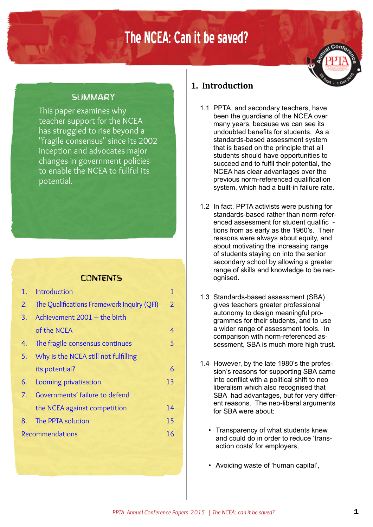# The NCEA: Can it be saved?

# **SLIMMARY**

This paper examines why teacher support for the NCEA has struggled to rise beyond a "fragile consensus" since its 2002 inception and advocates major changes in government policies to enable the NCEA to fullful its potential.

# **CONTENTS**

| 1.                     | Introduction                               | 1              |
|------------------------|--------------------------------------------|----------------|
| 2.                     | The Qualifications Framework Inquiry (QFI) | $\overline{2}$ |
|                        | 3. Achievement 2001 - the birth            |                |
|                        | of the NCEA                                | 4              |
| 4.                     | The fragile consensus continues            | 5              |
|                        | 5. Why is the NCEA still not fulfilling    |                |
|                        | its potential?                             | 6              |
| 6.                     | Looming privatisation                      | 13             |
|                        | 7. Governments' failure to defend          |                |
|                        | the NCEA against competition               | 14             |
| 8.                     | The PPTA solution                          | 15             |
| <b>Recommendations</b> |                                            | 16             |

# **1. Introduction**

- 1.1 PPTA, and secondary teachers, have been the guardians of the NCEA over many years, because we can see its undoubted benefits for students. As a standards-based assessment system that is based on the principle that all students should have opportunities to succeed and to fulfil their potential, the NCEA has clear advantages over the previous norm-referenced qualification system, which had a built-in failure rate.
- 1.2 In fact, PPTA activists were pushing for standards-based rather than norm-referenced assessment for student qualific tions from as early as the 1960's. Their reasons were always about equity, and about motivating the increasing range of students staying on into the senior secondary school by allowing a greater range of skills and knowledge to be recognised.
- 1.3 Standards-based assessment (SBA) gives teachers greater professional autonomy to design meaningful programmes for their students, and to use a wider range of assessment tools. In comparison with norm-referenced assessment, SBA is much more high trust.
- 1.4 However, by the late 1980's the profession's reasons for supporting SBA came into conflict with a political shift to neo liberalism which also recognised that SBA had advantages, but for very different reasons. The neo-liberal arguments for SBA were about:
	- Transparency of what students knew and could do in order to reduce 'transaction costs' for employers,
	- Avoiding waste of 'human capital',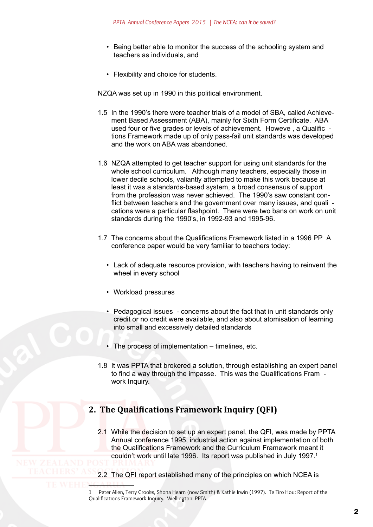- <span id="page-1-0"></span>• Being better able to monitor the success of the schooling system and teachers as individuals, and
- Flexibility and choice for students.

NZQA was set up in 1990 in this political environment.

- 1.5 In the 1990's there were teacher trials of a model of SBA, called Achievement Based Assessment (ABA), mainly for Sixth Form Certificate. ABA used four or five grades or levels of achievement. Howeve , a Qualific tions Framework made up of only pass-fail unit standards was developed and the work on ABA was abandoned.
- 1.6 NZQA attempted to get teacher support for using unit standards for the whole school curriculum. Although many teachers, especially those in lower decile schools, valiantly attempted to make this work because at least it was a standards-based system, a broad consensus of support from the profession was never achieved. The 1990's saw constant conflict between teachers and the government over many issues, and quali cations were a particular flashpoint. There were two bans on work on unit standards during the 1990's, in 1992-93 and 1995-96.
- 1.7 The concerns about the Qualifications Framework listed in a 1996 PP A conference paper would be very familiar to teachers today:
	- Lack of adequate resource provision, with teachers having to reinvent the wheel in every school
	- Workload pressures
	- Pedagogical issues concerns about the fact that in unit standards only credit or no credit were available, and also about atomisation of learning into small and excessively detailed standards
	- The process of implementation timelines, etc.
- 1.8 It was PPTA that brokered a solution, through establishing an expert panel to find a way through the impasse. This was the Qualifications Fram work Inquiry.

# **2. The Qualifications Framework Inquiry (QFI)**

- 2.1 While the decision to set up an expert panel, the QFI, was made by PPTA Annual conference 1995, industrial action against implementation of both the Qualifications Framework and the Curriculum Framework meant it couldn't work until late 1996. Its report was published in July 1997.<sup>1</sup>
- 2.2 The QFI report established many of the principles on which NCEA is

<sup>1</sup>  Peter Allen, Terry Crooks, Shona Hearn (now Smith) & Kathie Irwin (1997). Te Tiro Hou: Report of the Qualifications Framework Inquiry. Wellington: PPTA.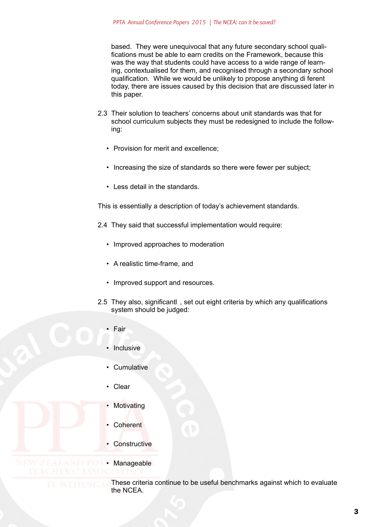based. They were unequivocal that any future secondary school qualifications must be able to earn credits on the Framework, because this was the way that students could have access to a wide range of learning, contextualised for them, and recognised through a secondary school qualification. While we would be unlikely to propose anything di ferent today, there are issues caused by this decision that are discussed later in this paper.

- 2.3 Their solution to teachers' concerns about unit standards was that for school curriculum subjects they must be redesigned to include the following:
	- Provision for merit and excellence;
	- Increasing the size of standards so there were fewer per subject;
	- Less detail in the standards.

This is essentially a description of today's achievement standards.

- 2.4 They said that successful implementation would require:
	- Improved approaches to moderation
	- A realistic time-frame, and
	- Improved support and resources.
- 2.5 They also, significantl , set out eight criteria by which any qualifications system should be judged:
	- Fair
	- Inclusive
	- Cumulative
	- Clear
	- **Motivating**
	- Coherent
	- **Constructive**

• Manageable

These criteria continue to be useful benchmarks against which to evaluate the NCEA.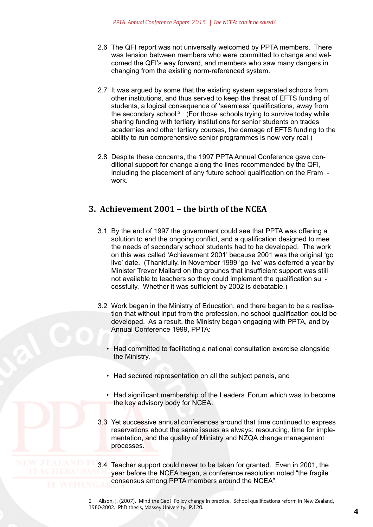- <span id="page-3-0"></span>2.6 The QFI report was not universally welcomed by PPTA members. There was tension between members who were committed to change and welcomed the QFI's way forward, and members who saw many dangers in changing from the existing norm-referenced system.
- 2.7 It was argued by some that the existing system separated schools from other institutions, and thus served to keep the threat of EFTS funding of students, a logical consequence of 'seamless' qualifications, away from the secondary school.<sup>2</sup> (For those schools trying to survive today while sharing funding with tertiary institutions for senior students on trades academies and other tertiary courses, the damage of EFTS funding to the ability to run comprehensive senior programmes is now very real.)
- 2.8 Despite these concerns, the 1997 PPTA Annual Conference gave conditional support for change along the lines recommended by the QFI, including the placement of any future school qualification on the Fram work.

# **3. Achievement 2001 – the birth of the NCEA**

- 3.1 By the end of 1997 the government could see that PPTA was offering a solution to end the ongoing conflict, and a qualification designed to mee the needs of secondary school students had to be developed. The work on this was called 'Achievement 2001' because 2001 was the original 'go live' date. (Thankfully, in November 1999 'go live' was deferred a year by Minister Trevor Mallard on the grounds that insufficient support was still not available to teachers so they could implement the qualification su cessfully. Whether it was sufficient by 2002 is debatable.)
- 3.2 Work began in the Ministry of Education, and there began to be a realisation that without input from the profession, no school qualification could be developed. As a result, the Ministry began engaging with PPTA, and by Annual Conference 1999, PPTA:
	- Had committed to facilitating a national consultation exercise alongside the Ministry,
	- Had secured representation on all the subject panels, and
	- Had significant membership of the Leaders Forum which was to become the key advisory body for NCEA.
- 3.3 Yet successive annual conferences around that time continued to express reservations about the same issues as always: resourcing, time for implementation, and the quality of Ministry and NZQA change management processes.

3.4 Teacher support could never to be taken for granted. Even in 2001, the year before the NCEA began, a conference resolution noted "the fragile consensus among PPTA members around the NCEA".

2  Alison, J. (2007). Mind the Gap! Policy change in practice. School qualifications reform in New Zealand, 1980-2002. PhD thesis, Massey University. P.120.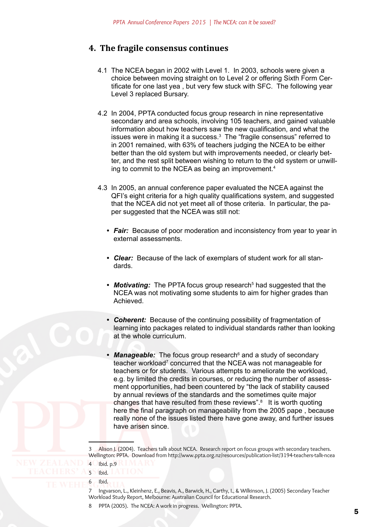# <span id="page-4-0"></span>**4. The fragile consensus continues**

- 4.1 The NCEA began in 2002 with Level 1. In 2003, schools were given a choice between moving straight on to Level 2 or offering Sixth Form Certificate for one last yea , but very few stuck with SFC. The following year Level 3 replaced Bursary.
- 4.2 In 2004, PPTA conducted focus group research in nine representative secondary and area schools, involving 105 teachers, and gained valuable information about how teachers saw the new qualification, and what the issues were in making it a success.3 The "fragile consensus" referred to in 2001 remained, with 63% of teachers judging the NCEA to be either better than the old system but with improvements needed, or clearly better, and the rest split between wishing to return to the old system or unwilling to commit to the NCEA as being an improvement.4
- 4.3 In 2005, an annual conference paper evaluated the NCEA against the QFI's eight criteria for a high quality qualifications system, and suggested that the NCEA did not yet meet all of those criteria. In particular, the paper suggested that the NCEA was still not:
	- *Fair:* Because of poor moderation and inconsistency from year to year in external assessments.
	- *• Clear:* Because of the lack of exemplars of student work for all standards.
	- Motivating: The PPTA focus group research<sup>5</sup> had suggested that the NCEA was not motivating some students to aim for higher grades than Achieved.
	- *• Coherent:* Because of the continuing possibility of fragmentation of learning into packages related to individual standards rather than looking at the whole curriculum.
	- Manageable: The focus group research<sup>6</sup> and a study of secondary teacher workload<sup>7</sup> concurred that the NCEA was not manageable for teachers or for students. Various attempts to ameliorate the workload, e.g. by limited the credits in courses, or reducing the number of assessment opportunities, had been countered by "the lack of stability caused by annual reviews of the standards and the sometimes quite major changes that have resulted from these reviews".<sup>8</sup> It is worth quoting here the final paragraph on manageability from the 2005 pape , because really none of the issues listed there have gone away, and further issues have arisen since.

3  Alison J. (2004). Teachers talk about NCEA. Research report on focus groups with secondary teachers. Wellington: PPTA. Download from http://www.ppta.org.nz/resources/publication-list/3194-teachers-talk-ncea

- 4  Ibid. p.9
- 5 Ibid. 6 Ibid.

7  Ingvarson, L., Kleinhenz, E., Beavis, A., Barwick, H., Carthy, I., & Wilkinson, J. (2005) Secondary Teacher Workload Study Report, Melbourne: Australian Council for Educational Research.

PPTA (2005). The NCEA: A work in progress. Wellington: PPTA.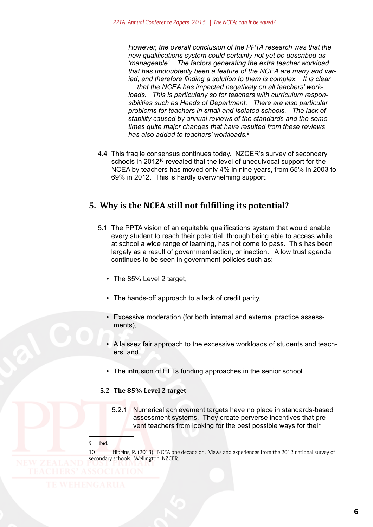<span id="page-5-0"></span>*However, the overall conclusion of the PPTA research was that the new qualifications system could certainly not yet be described as 'manageable'. The factors generating the extra teacher workload that has undoubtedly been a feature of the NCEA are many and varied, and therefore finding a solution to them is complex. It is clear … that the NCEA has impacted negatively on all teachers' workloads. This is particularly so for teachers with curriculum responsibilities such as Heads of Department. There are also particular problems for teachers in small and isolated schools. The lack of stability caused by annual reviews of the standards and the sometimes quite major changes that have resulted from these reviews has also added to teachers' workloads.*<sup>9</sup>

4.4 This fragile consensus continues today. NZCER's survey of secondary schools in 2012<sup>10</sup> revealed that the level of unequivocal support for the NCEA by teachers has moved only 4% in nine years, from 65% in 2003 to 69% in 2012. This is hardly overwhelming support.

# **5. Why is the NCEA still not fulfilling its potential?**

- 5.1 The PPTA vision of an equitable qualifications system that would enable every student to reach their potential, through being able to access while at school a wide range of learning, has not come to pass. This has been largely as a result of government action, or inaction. A low trust agenda continues to be seen in government policies such as:
	- The 85% Level 2 target.
	- The hands-off approach to a lack of credit parity,
	- Excessive moderation (for both internal and external practice assessments),
	- A laissez fair approach to the excessive workloads of students and teachers, and
	- The intrusion of EFTs funding approaches in the senior school.

#### **5.2 The 85% Level 2 target**

5.2.1 Numerical achievement targets have no place in standards-based assessment systems. They create perverse incentives that prevent teachers from looking for the best possible ways for their

#### 9  Ibid.

10 Hipkins, R. (2013). NCEA one decade on. Views and experiences from the 2012 national survey of secondary schools. Wellington: NZCER.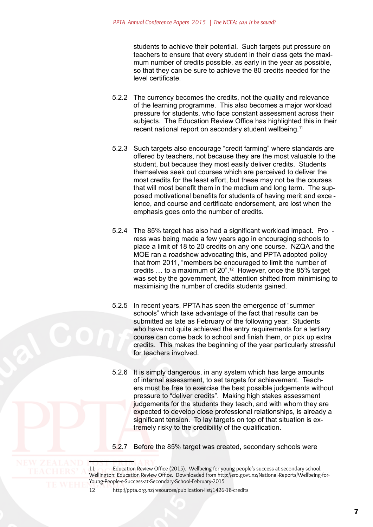students to achieve their potential. Such targets put pressure on teachers to ensure that every student in their class gets the maximum number of credits possible, as early in the year as possible, so that they can be sure to achieve the 80 credits needed for the level certificate.

- 5.2.2 The currency becomes the credits, not the quality and relevance of the learning programme. This also becomes a major workload pressure for students, who face constant assessment across their subjects. The Education Review Office has highlighted this in their recent national report on secondary student wellbeing.<sup>11</sup>
- 5.2.3 Such targets also encourage "credit farming" where standards are offered by teachers, not because they are the most valuable to the student, but because they most easily deliver credits. Students themselves seek out courses which are perceived to deliver the most credits for the least effort, but these may not be the courses that will most benefit them in the medium and long term. The supposed motivational benefits for students of having merit and exce lence, and course and certificate endorsement, are lost when the emphasis goes onto the number of credits.
- 5.2.4 The 85% target has also had a significant workload impact. Pro ress was being made a few years ago in encouraging schools to place a limit of 18 to 20 credits on any one course. NZQA and the MOE ran a roadshow advocating this, and PPTA adopted policy that from 2011, "members be encouraged to limit the number of credits … to a maximum of 20".12 However, once the 85% target was set by the government, the attention shifted from minimising to maximising the number of credits students gained.
- 5.2.5 In recent years, PPTA has seen the emergence of "summer schools" which take advantage of the fact that results can be submitted as late as February of the following year. Students who have not quite achieved the entry requirements for a tertiary course can come back to school and finish them, or pick up extra credits. This makes the beginning of the year particularly stressful for teachers involved.
- 5.2.6 It is simply dangerous, in any system which has large amounts of internal assessment, to set targets for achievement. Teachers must be free to exercise the best possible judgements without pressure to "deliver credits". Making high stakes assessment judgements for the students they teach, and with whom they are expected to develop close professional relationships, is already a significant tension. To lay targets on top of that situation is extremely risky to the credibility of the qualification.
- 5.2.7 Before the 85% target was created, secondary schools were

<sup>11</sup> Education Review Office (2015). Wellbeing for young people's success at secondary school. Wellington: Education Review Office. Downloaded from http://ero.govt.nz/National-Reports/Wellbeing-for-Young-People-s-Success-at-Secondary-School-February-2015

<sup>12</sup> <http://ppta.org.nz/resources/publication-list/1426-18-credits>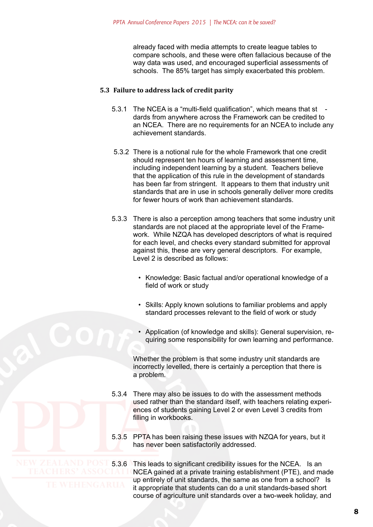already faced with media attempts to create league tables to compare schools, and these were often fallacious because of the way data was used, and encouraged superficial assessments of schools. The 85% target has simply exacerbated this problem.

#### **5.3 Failure to address lack of credit parity**

- 5.3.1 The NCEA is a "multi-field qualification", which means that st dards from anywhere across the Framework can be credited to an NCEA. There are no requirements for an NCEA to include any achievement standards.
- 5.3.2 There is a notional rule for the whole Framework that one credit should represent ten hours of learning and assessment time, including independent learning by a student. Teachers believe that the application of this rule in the development of standards has been far from stringent. It appears to them that industry unit standards that are in use in schools generally deliver more credits for fewer hours of work than achievement standards.
- 5.3.3 There is also a perception among teachers that some industry unit standards are not placed at the appropriate level of the Framework. While NZQA has developed descriptors of what is required for each level, and checks every standard submitted for approval against this, these are very general descriptors. For example, Level 2 is described as follows:
	- Knowledge: Basic factual and/or operational knowledge of a field of work or study
	- Skills: Apply known solutions to familiar problems and apply standard processes relevant to the field of work or study
	- Application (of knowledge and skills): General supervision, requiring some responsibility for own learning and performance.

Whether the problem is that some industry unit standards are incorrectly levelled, there is certainly a perception that there is a problem.

- 5.3.4 There may also be issues to do with the assessment methods used rather than the standard itself, with teachers relating experiences of students gaining Level 2 or even Level 3 credits from filling in workbooks.
- 5.3.5 PPTA has been raising these issues with NZQA for years, but it has never been satisfactorily addressed.

W ZEALAND POST 5.3.6 This leads to significant credibility issues for the NCEA. Is an<br>TEACHERS' ASSOCIALL NCEA gained at a private training establishment (PTE). and ma NCEA gained at a private training establishment (PTE), and made up entirely of unit standards, the same as one from a school? Is it appropriate that students can do a unit standards-based short course of agriculture unit standards over a two-week holiday, and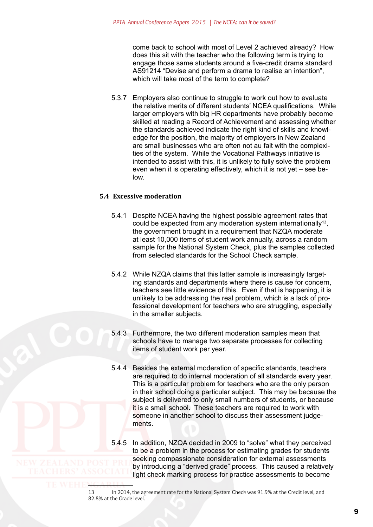come back to school with most of Level 2 achieved already? How does this sit with the teacher who the following term is trying to engage those same students around a five-credit drama standard AS91214 "Devise and perform a drama to realise an intention", which will take most of the term to complete?

5.3.7 Employers also continue to struggle to work out how to evaluate the relative merits of different students' NCEA qualifications. While larger employers with big HR departments have probably become skilled at reading a Record of Achievement and assessing whether the standards achieved indicate the right kind of skills and knowledge for the position, the majority of employers in New Zealand are small businesses who are often not au fait with the complexities of the system. While the Vocational Pathways initiative is intended to assist with this, it is unlikely to fully solve the problem even when it is operating effectively, which it is not yet – see below.

### **5.4 Excessive moderation**

- 5.4.1 Despite NCEA having the highest possible agreement rates that could be expected from any moderation system internationally13, the government brought in a requirement that NZQA moderate at least 10,000 items of student work annually, across a random sample for the National System Check, plus the samples collected from selected standards for the School Check sample.
- 5.4.2 While NZQA claims that this latter sample is increasingly targeting standards and departments where there is cause for concern, teachers see little evidence of this. Even if that is happening, it is unlikely to be addressing the real problem, which is a lack of professional development for teachers who are struggling, especially in the smaller subjects.
- 5.4.3 Furthermore, the two different moderation samples mean that schools have to manage two separate processes for collecting items of student work per year.
- 5.4.4 Besides the external moderation of specific standards, teachers are required to do internal moderation of all standards every year. This is a particular problem for teachers who are the only person in their school doing a particular subject. This may be because the subject is delivered to only small numbers of students, or because it is a small school. These teachers are required to work with someone in another school to discuss their assessment judgements.
- 5.4.5 In addition, NZQA decided in 2009 to "solve" what they perceived to be a problem in the process for estimating grades for students seeking compassionate consideration for external assessments by introducing a "derived grade" process. This caused a relatively light check marking process for practice assessments to become

<sup>13</sup> In 2014, the agreement rate for the National System Check was 91.9% at the Credit level, and 82.8% at the Grade level.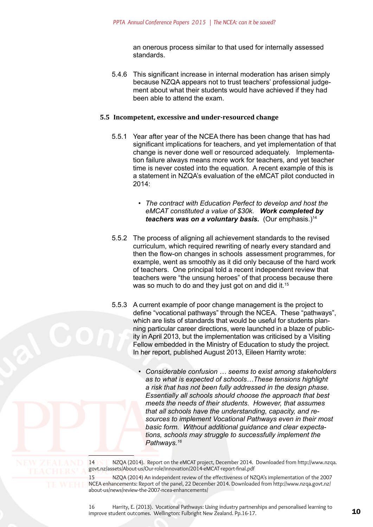an onerous process similar to that used for internally assessed standards.

5.4.6 This significant increase in internal moderation has arisen simply because NZQA appears not to trust teachers' professional judgement about what their students would have achieved if they had been able to attend the exam.

#### **5.5 Incompetent, excessive and under-resourced change**

- 5.5.1 Year after year of the NCEA there has been change that has had significant implications for teachers, and yet implementation of that change is never done well or resourced adequately. Implementation failure always means more work for teachers, and yet teacher time is never costed into the equation. A recent example of this is a statement in NZQA's evaluation of the eMCAT pilot conducted in 2014:
	- *• The contract with Education Perfect to develop and host the eMCAT constituted a value of \$30k. Work completed by teachers was on a voluntary basis.* (Our emphasis.)14
- 5.5.2 The process of aligning all achievement standards to the revised curriculum, which required rewriting of nearly every standard and then the flow-on changes in schools assessment programmes, for example, went as smoothly as it did only because of the hard work of teachers. One principal told a recent independent review that teachers were "the unsung heroes" of that process because there was so much to do and they just got on and did it.<sup>15</sup>
- 5.5.3 A current example of poor change management is the project to define "vocational pathways" through the NCEA. These "pathways", which are lists of standards that would be useful for students planning particular career directions, were launched in a blaze of publicity in April 2013, but the implementation was criticised by a Visiting Fellow embedded in the Ministry of Education to study the project. In her report, published August 2013, Eileen Harrity wrote:
	- *• Considerable confusion … seems to exist among stakeholders as to what is expected of schools…These tensions highlight a risk that has not been fully addressed in the design phase. Essentially all schools should choose the approach that best meets the needs of their students. However, that assumes that all schools have the understanding, capacity, and resources to implement Vocational Pathways even in their most basic form. Without additional guidance and clear expectations, schools may struggle to successfully implement the Pathways.<sup>16</sup>*

14 NZQA (2014). Report on the eMCAT project, December 2014. Downloaded from [http://www.nzqa.](http://www.nzqa.govt.nz/assets/About-us/Our-role/innovation/2014-eMCAT-report-final.pdf) [govt.nz/assets/About-us/Our-role/innovation/2014-eMCAT-report-final.pdf](http://www.nzqa.govt.nz/assets/About-us/Our-role/innovation/2014-eMCAT-report-final.pdf)

> 15 NZQA (2014) An independent review of the effectiveness of NZQA's implementation of the 2007 NCEA enhancements: Report of the panel, 22 December 2014. Downloaded from [http://www.nzqa.govt.nz/](http://www.nzqa.govt.nz/about-us/news/review-the-2007-ncea-enhancements/) [about-us/news/review-the-2007-ncea-enhancements/](http://www.nzqa.govt.nz/about-us/news/review-the-2007-ncea-enhancements/)

> 16 Harrity, E. (2013). Vocational Pathways: Using industry partnerships and personalised learning to improve student outcomes. Wellington: Fulbright New Zealand. Pp.16-17.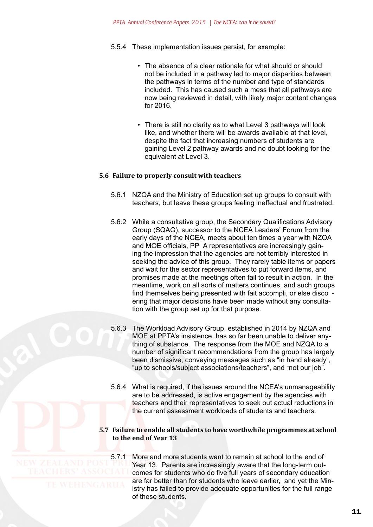- 5.5.4 These implementation issues persist, for example:
	- The absence of a clear rationale for what should or should not be included in a pathway led to major disparities between the pathways in terms of the number and type of standards included. This has caused such a mess that all pathways are now being reviewed in detail, with likely major content changes for 2016.
	- There is still no clarity as to what Level 3 pathways will look like, and whether there will be awards available at that level, despite the fact that increasing numbers of students are gaining Level 2 pathway awards and no doubt looking for the equivalent at Level 3.

#### **5.6 Failure to properly consult with teachers**

- 5.6.1 NZQA and the Ministry of Education set up groups to consult with teachers, but leave these groups feeling ineffectual and frustrated.
- 5.6.2 While a consultative group, the Secondary Qualifications Advisory Group (SQAG), successor to the NCEA Leaders' Forum from the early days of the NCEA, meets about ten times a year with NZQA and MOE officials, PP A representatives are increasingly gaining the impression that the agencies are not terribly interested in seeking the advice of this group. They rarely table items or papers and wait for the sector representatives to put forward items, and promises made at the meetings often fail to result in action. In the meantime, work on all sorts of matters continues, and such groups find themselves being presented with fait accompli, or else disco ering that major decisions have been made without any consultation with the group set up for that purpose.
- 5.6.3 The Workload Advisory Group, established in 2014 by NZQA and MOE at PPTA's insistence, has so far been unable to deliver anything of substance. The response from the MOE and NZQA to a number of significant recommendations from the group has largely been dismissive, conveying messages such as "in hand already", "up to schools/subject associations/teachers", and "not our job".
- 5.6.4 What is required, if the issues around the NCEA's unmanageability are to be addressed, is active engagement by the agencies with teachers and their representatives to seek out actual reductions in the current assessment workloads of students and teachers.

#### **5.7 Failure to enable all students to have worthwhile programmes at school to the end of Year 13**

5.7.1 More and more students want to remain at school to the end of Year 13. Parents are increasingly aware that the long-term outcomes for students who do five full years of secondary education are far better than for students who leave earlier, and yet the Ministry has failed to provide adequate opportunities for the full range of these students.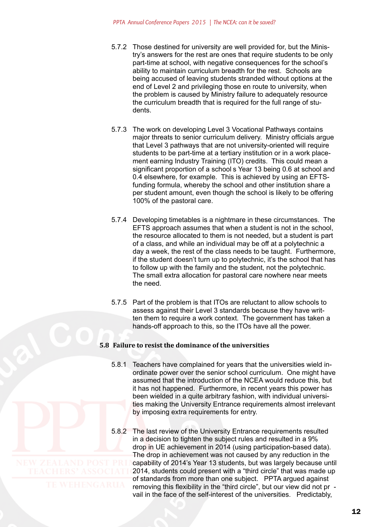- 5.7.2 Those destined for university are well provided for, but the Ministry's answers for the rest are ones that require students to be only part-time at school, with negative consequences for the school's ability to maintain curriculum breadth for the rest. Schools are being accused of leaving students stranded without options at the end of Level 2 and privileging those en route to university, when the problem is caused by Ministry failure to adequately resource the curriculum breadth that is required for the full range of students.
- 5.7.3 The work on developing Level 3 Vocational Pathways contains major threats to senior curriculum delivery. Ministry officials argue that Level 3 pathways that are not university-oriented will require students to be part-time at a tertiary institution or in a work placement earning Industry Training (ITO) credits. This could mean a significant proportion of a school s Year 13 being 0.6 at school and 0.4 elsewhere, for example. This is achieved by using an EFTSfunding formula, whereby the school and other institution share a per student amount, even though the school is likely to be offering 100% of the pastoral care.
- 5.7.4 Developing timetables is a nightmare in these circumstances. The EFTS approach assumes that when a student is not in the school, the resource allocated to them is not needed, but a student is part of a class, and while an individual may be off at a polytechnic a day a week, the rest of the class needs to be taught. Furthermore, if the student doesn't turn up to polytechnic, it's the school that has to follow up with the family and the student, not the polytechnic. The small extra allocation for pastoral care nowhere near meets the need.
- 5.7.5 Part of the problem is that ITOs are reluctant to allow schools to assess against their Level 3 standards because they have written them to require a work context. The government has taken a hands-off approach to this, so the ITOs have all the power.

#### **5.8 Failure to resist the dominance of the universities**

- 5.8.1 Teachers have complained for years that the universities wield inordinate power over the senior school curriculum. One might have assumed that the introduction of the NCEA would reduce this, but it has not happened. Furthermore, in recent years this power has been wielded in a quite arbitrary fashion, with individual universities making the University Entrance requirements almost irrelevant by imposing extra requirements for entry.
- 5.8.2 The last review of the University Entrance requirements resulted in a decision to tighten the subject rules and resulted in a 9% drop in UE achievement in 2014 (using participation-based data). The drop in achievement was not caused by any reduction in the capability of 2014's Year 13 students, but was largely because until 2014, students could present with a "third circle" that was made up of standards from more than one subject. PPTA argued against removing this flexibility in the "third circle", but our view did not pr vail in the face of the self-interest of the universities. Predictably,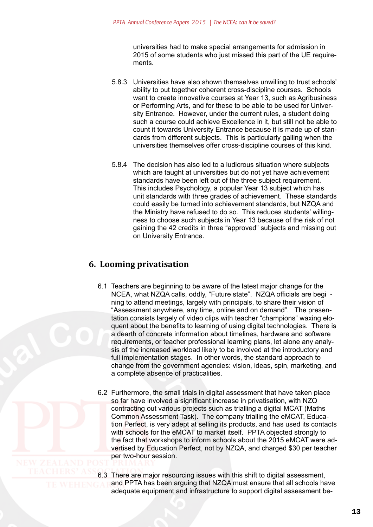universities had to make special arrangements for admission in 2015 of some students who just missed this part of the UE requirements.

- <span id="page-12-0"></span>5.8.3 Universities have also shown themselves unwilling to trust schools' ability to put together coherent cross-discipline courses. Schools want to create innovative courses at Year 13, such as Agribusiness or Performing Arts, and for these to be able to be used for University Entrance. However, under the current rules, a student doing such a course could achieve Excellence in it, but still not be able to count it towards University Entrance because it is made up of standards from different subjects. This is particularly galling when the universities themselves offer cross-discipline courses of this kind.
- 5.8.4 The decision has also led to a ludicrous situation where subjects which are taught at universities but do not yet have achievement standards have been left out of the three subject requirement. This includes Psychology, a popular Year 13 subject which has unit standards with three grades of achievement. These standards could easily be turned into achievement standards, but NZQA and the Ministry have refused to do so. This reduces students' willingness to choose such subjects in Year 13 because of the risk of not gaining the 42 credits in three "approved" subjects and missing out on University Entrance.

# **6. Looming privatisation**

- 6.1 Teachers are beginning to be aware of the latest major change for the NCEA, what NZQA calls, oddly, "Future state". NZQA officials are begi ning to attend meetings, largely with principals, to share their vision of "Assessment anywhere, any time, online and on demand". The presentation consists largely of video clips with teacher "champions" waxing eloquent about the benefits to learning of using digital technologies. There is a dearth of concrete information about timelines, hardware and software requirements, or teacher professional learning plans, let alone any analysis of the increased workload likely to be involved at the introductory and full implementation stages. In other words, the standard approach to change from the government agencies: vision, ideas, spin, marketing, and a complete absence of practicalities.
- 6.2 Furthermore, the small trials in digital assessment that have taken place so far have involved a significant increase in privatisation, with NZQ contracting out various projects such as trialling a digital MCAT (Maths Common Assessment Task). The company trialling the eMCAT, Education Perfect, is very adept at selling its products, and has used its contacts with schools for the eMCAT to market itself. PPTA objected strongly to the fact that workshops to inform schools about the 2015 eMCAT were advertised by Education Perfect, not by NZQA, and charged \$30 per teacher per two-hour session.
- 6.3 There are major resourcing issues with this shift to digital assessment,
	- and PPTA has been arguing that NZQA must ensure that all schools have adequate equipment and infrastructure to support digital assessment be-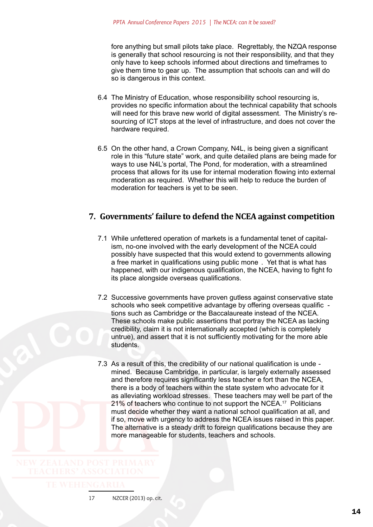<span id="page-13-0"></span>fore anything but small pilots take place. Regrettably, the NZQA response is generally that school resourcing is not their responsibility, and that they only have to keep schools informed about directions and timeframes to give them time to gear up. The assumption that schools can and will do so is dangerous in this context.

- 6.4 The Ministry of Education, whose responsibility school resourcing is, provides no specific information about the technical capability that schools will need for this brave new world of digital assessment. The Ministry's resourcing of ICT stops at the level of infrastructure, and does not cover the hardware required.
- 6.5 On the other hand, a Crown Company, N4L, is being given a significant role in this "future state" work, and quite detailed plans are being made for ways to use N4L's portal, The Pond, for moderation, with a streamlined process that allows for its use for internal moderation flowing into external moderation as required. Whether this will help to reduce the burden of moderation for teachers is yet to be seen.

# **7. Governments' failure to defend the NCEA against competition**

- 7.1 While unfettered operation of markets is a fundamental tenet of capitalism, no-one involved with the early development of the NCEA could possibly have suspected that this would extend to governments allowing a free market in qualifications using public mone . Yet that is what has happened, with our indigenous qualification, the NCEA, having to fight fo its place alongside overseas qualifications.
- 7.2 Successive governments have proven gutless against conservative state schools who seek competitive advantage by offering overseas qualific tions such as Cambridge or the Baccalaureate instead of the NCEA. These schools make public assertions that portray the NCEA as lacking credibility, claim it is not internationally accepted (which is completely untrue), and assert that it is not sufficiently motivating for the more able students.
- 7.3 As a result of this, the credibility of our national qualification is unde mined. Because Cambridge, in particular, is largely externally assessed and therefore requires significantly less teacher e fort than the NCEA, there is a body of teachers within the state system who advocate for it as alleviating workload stresses. These teachers may well be part of the 21% of teachers who continue to not support the NCEA.<sup>17</sup> Politicians must decide whether they want a national school qualification at all, and if so, move with urgency to address the NCEA issues raised in this paper. The alternative is a steady drift to foreign qualifications because they are more manageable for students, teachers and schools.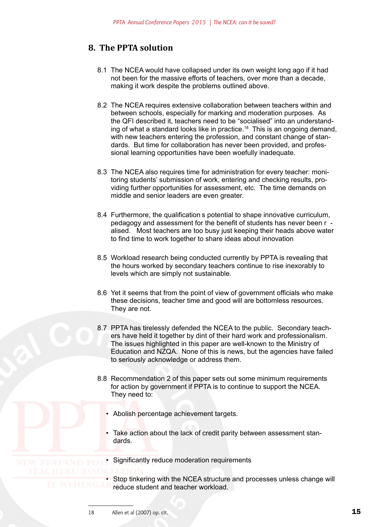# <span id="page-14-0"></span>**8. The PPTA solution**

- 8.1 The NCEA would have collapsed under its own weight long ago if it had not been for the massive efforts of teachers, over more than a decade, making it work despite the problems outlined above.
- 8.2 The NCEA requires extensive collaboration between teachers within and between schools, especially for marking and moderation purposes. As the QFI described it, teachers need to be "socialised" into an understanding of what a standard looks like in practice.<sup>18</sup> This is an ongoing demand, with new teachers entering the profession, and constant change of standards. But time for collaboration has never been provided, and professional learning opportunities have been woefully inadequate.
- 8.3 The NCEA also requires time for administration for every teacher: monitoring students' submission of work, entering and checking results, providing further opportunities for assessment, etc. The time demands on middle and senior leaders are even greater.
- 8.4 Furthermore, the qualification s potential to shape innovative curriculum, pedagogy and assessment for the benefit of students has never been r alised. Most teachers are too busy just keeping their heads above water to find time to work together to share ideas about innovation
- 8.5 Workload research being conducted currently by PPTA is revealing that the hours worked by secondary teachers continue to rise inexorably to levels which are simply not sustainable.
- 8.6 Yet it seems that from the point of view of government officials who make these decisions, teacher time and good will are bottomless resources. They are not.
- 8.7 PPTA has tirelessly defended the NCEA to the public. Secondary teachers have held it together by dint of their hard work and professionalism. The issues highlighted in this paper are well-known to the Ministry of Education and NZQA. None of this is news, but the agencies have failed to seriously acknowledge or address them.
- 8.8 Recommendation 2 of this paper sets out some minimum requirements for action by government if PPTA is to continue to support the NCEA. They need to:
	- Abolish percentage achievement targets.
	- Take action about the lack of credit parity between assessment standards.

• Significantly reduce moderation requirements

• Stop tinkering with the NCEA structure and processes unless change will<br>reduce student and teacher workload reduce student and teacher workload.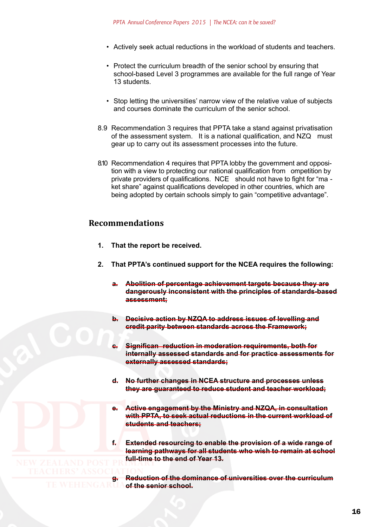- <span id="page-15-0"></span>• Actively seek actual reductions in the workload of students and teachers.
- Protect the curriculum breadth of the senior school by ensuring that school-based Level 3 programmes are available for the full range of Year 13 students.
- Stop letting the universities' narrow view of the relative value of subjects and courses dominate the curriculum of the senior school.
- 8.9 Recommendation 3 requires that PPTA take a stand against privatisation of the assessment system. It is a national qualification, and NZQ must gear up to carry out its assessment processes into the future.
- 8.10 Recommendation 4 requires that PPTA lobby the government and opposition with a view to protecting our national qualification from ompetition by private providers of qualifications. NCE should not have to fight for "ma ket share" against qualifications developed in other countries, which are being adopted by certain schools simply to gain "competitive advantage".

# **Recommendations**

- **1. That the report be received.**
- **2. That PPTA's continued support for the NCEA requires the following:**
	- **a. Abolition of percentage achievement targets because they are dangerously inconsistent with the principles of standards-based assessment;**
	- **b. Decisive action by NZQA to address issues of levelling and credit parity between standards across the Framework;**
	- **c. Significan reduction in moderation requirements, both for internally assessed standards and for practice assessments for externally assessed standards;**
	- **d. No further changes in NCEA structure and processes unless they are guaranteed to reduce student and teacher workload;**
	- **e. Active engagement by the Ministry and NZQA, in consultation with PPTA, to seek actual reductions in the current workload of students and teachers;**

**f. Extended resourcing to enable the provision of a wide range of learning pathways for all students who wish to remain at school full-time to the end of Year 13.**

**g. Reduction of the dominance of universities over the curriculum**<br>WEHENGARTIA of the senior school. **of the senior school.**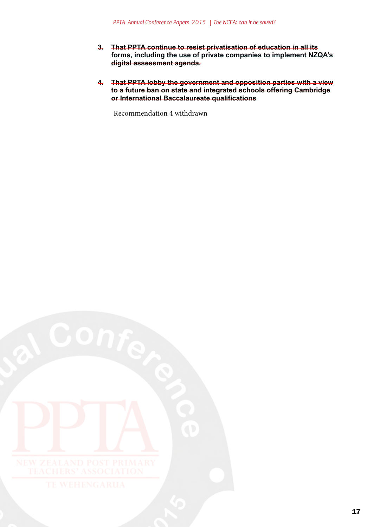- **3. That PPTA continue to resist privatisation of education in all its forms, including the use of private companies to implement NZQA's digital assessment agenda.**
- **4. That PPTA lobby the government and opposition parties with a view to a future ban on state and integrated schools offering Cambridge or International Baccalaureate qualifications**

Recommendation 4 withdrawn

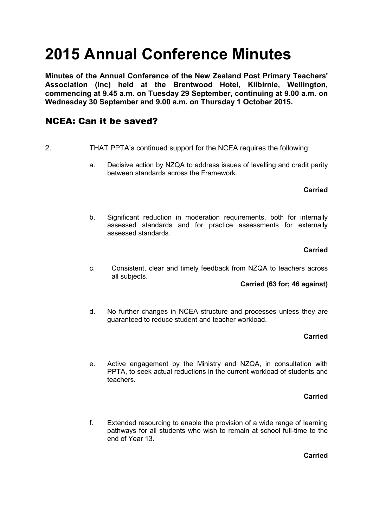# **2015 Annual Conference Minutes**

**Minutes of the Annual Conference of the New Zealand Post Primary Teachers' Association (Inc) held at the Brentwood Hotel, Kilbirnie, Wellington, commencing at 9.45 a.m. on Tuesday 29 September, continuing at 9.00 a.m. on Wednesday 30 September and 9.00 a.m. on Thursday 1 October 2015.**

# NCEA: Can it be saved?

- 2. THAT PPTA's continued support for the NCEA requires the following:
	- a. Decisive action by NZQA to address issues of levelling and credit parity between standards across the Framework.

### **Carried**

b. Significant reduction in moderation requirements, both for internally assessed standards and for practice assessments for externally assessed standards.

## **Carried**

c. Consistent, clear and timely feedback from NZQA to teachers across all subjects.

### **Carried (63 for; 46 against)**

d. No further changes in NCEA structure and processes unless they are guaranteed to reduce student and teacher workload.

# **Carried**

e. Active engagement by the Ministry and NZQA, in consultation with PPTA, to seek actual reductions in the current workload of students and teachers.

### **Carried**

f. Extended resourcing to enable the provision of a wide range of learning pathways for all students who wish to remain at school full-time to the end of Year 13.

# **Carried**